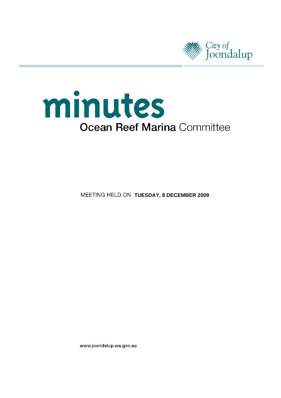

# minutes **Ocean Reef Marina Committee**

**MEETING HELD ON TUESDAY, 8 DECEMBER 2009** 

www.joondalup.wa.gov.au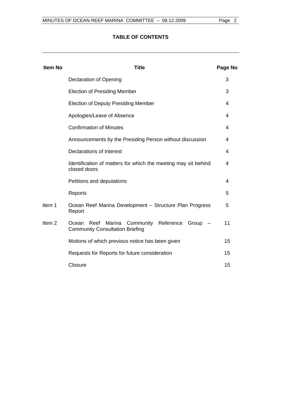# **TABLE OF CONTENTS**

| <b>Item No</b>    | <b>Title</b>                                                                                                                            | Page No |  |
|-------------------|-----------------------------------------------------------------------------------------------------------------------------------------|---------|--|
|                   | <b>Declaration of Opening</b>                                                                                                           | 3       |  |
|                   | <b>Election of Presiding Member</b>                                                                                                     |         |  |
|                   | <b>Election of Deputy Presiding Member</b><br>Apologies/Leave of Absence                                                                |         |  |
|                   |                                                                                                                                         |         |  |
|                   | <b>Confirmation of Minutes</b>                                                                                                          | 4       |  |
|                   | Announcements by the Presiding Person without discussion                                                                                |         |  |
|                   | Declarations of Interest<br>Identification of matters for which the meeting may sit behind<br>closed doors<br>Petitions and deputations |         |  |
|                   |                                                                                                                                         |         |  |
|                   |                                                                                                                                         |         |  |
|                   | Reports                                                                                                                                 | 5       |  |
| Item 1            | Ocean Reef Marina Development - Structure Plan Progress<br>Report                                                                       | 5       |  |
| Item <sub>2</sub> | Reef<br>Marina<br>Community Reference<br>Group<br>Ocean<br><b>Community Consultation Briefing</b>                                       | 11      |  |
|                   | Motions of which previous notice has been given                                                                                         | 15      |  |
|                   | Requests for Reports for future consideration                                                                                           | 15      |  |
|                   | Closure                                                                                                                                 | 15      |  |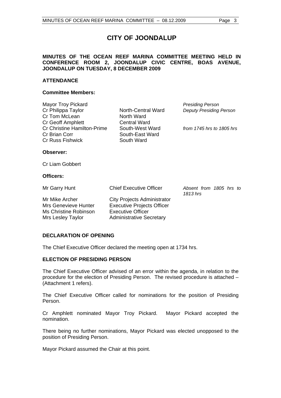# **CITY OF JOONDALUP**

#### **MINUTES OF THE OCEAN REEF MARINA COMMITTEE MEETING HELD IN CONFERENCE ROOM 2, JOONDALUP CIVIC CENTRE, BOAS AVENUE, JOONDALUP ON TUESDAY, 8 DECEMBER 2009**

#### **ATTENDANCE**

#### **Committee Members:**

| Mayor Troy Pickard                 |                     | <b>Presiding Person</b>        |
|------------------------------------|---------------------|--------------------------------|
| Cr Philippa Taylor                 | North-Central Ward  | <b>Deputy Presiding Person</b> |
| Cr Tom McLean                      | North Ward          |                                |
| Cr Geoff Amphlett                  | <b>Central Ward</b> |                                |
| <b>Cr Christine Hamilton-Prime</b> | South-West Ward     | from 1745 hrs to 1805 hrs      |
| Cr Brian Corr                      | South-East Ward     |                                |
| <b>Cr Russ Fishwick</b>            | South Ward          |                                |
| Observer:                          |                     |                                |
|                                    |                     |                                |

Cr Liam Gobbert

#### **Officers:**

| Mr Garry Hunt                                                                        | <b>Chief Executive Officer</b>                                                                                                         | Absent from 1805 hrs to<br>1813 hrs |  |  |
|--------------------------------------------------------------------------------------|----------------------------------------------------------------------------------------------------------------------------------------|-------------------------------------|--|--|
| Mr Mike Archer<br>Mrs Genevieve Hunter<br>Ms Christine Robinson<br>Mrs Lesley Taylor | <b>City Projects Administrator</b><br><b>Executive Projects Officer</b><br><b>Executive Officer</b><br><b>Administrative Secretary</b> |                                     |  |  |

#### **DECLARATION OF OPENING**

The Chief Executive Officer declared the meeting open at 1734 hrs.

#### **ELECTION OF PRESIDING PERSON**

The Chief Executive Officer advised of an error within the agenda, in relation to the procedure for the election of Presiding Person. The revised procedure is attached – (Attachment 1 refers).

The Chief Executive Officer called for nominations for the position of Presiding Person.

Cr Amphlett nominated Mayor Troy Pickard. Mayor Pickard accepted the nomination.

There being no further nominations, Mayor Pickard was elected unopposed to the position of Presiding Person.

Mayor Pickard assumed the Chair at this point.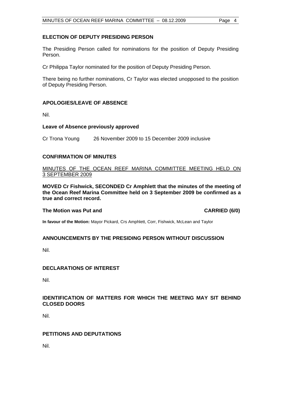#### **ELECTION OF DEPUTY PRESIDING PERSON**

The Presiding Person called for nominations for the position of Deputy Presiding Person.

Cr Philippa Taylor nominated for the position of Deputy Presiding Person.

There being no further nominations, Cr Taylor was elected unopposed to the position of Deputy Presiding Person.

### **APOLOGIES/LEAVE OF ABSENCE**

Nil.

#### **Leave of Absence previously approved**

Cr Trona Young 26 November 2009 to 15 December 2009 inclusive

#### **CONFIRMATION OF MINUTES**

#### MINUTES OF THE OCEAN REEF MARINA COMMITTEE MEETING HELD ON 3 SEPTEMBER 2009

**MOVED Cr Fishwick, SECONDED Cr Amphlett that the minutes of the meeting of the Ocean Reef Marina Committee held on 3 September 2009 be confirmed as a true and correct record.** 

#### The Motion was Put and **CARRIED** (6/0)

**In favour of the Motion:** Mayor Pickard, Crs Amphlett, Corr, Fishwick, McLean and Taylor

#### **ANNOUNCEMENTS BY THE PRESIDING PERSON WITHOUT DISCUSSION**

Nil.

#### **DECLARATIONS OF INTEREST**

Nil.

#### **IDENTIFICATION OF MATTERS FOR WHICH THE MEETING MAY SIT BEHIND CLOSED DOORS**

Nil.

#### **PETITIONS AND DEPUTATIONS**

Nil.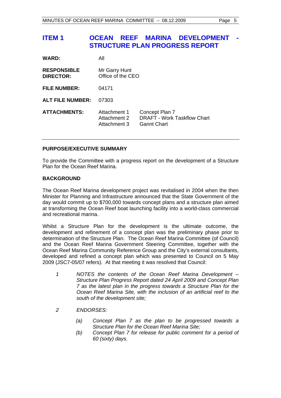# **ITEM 1 OCEAN REEF MARINA DEVELOPMENT STRUCTURE PLAN PROGRESS REPORT**

| <b>WARD:</b>                           | All                                          |                                                                            |
|----------------------------------------|----------------------------------------------|----------------------------------------------------------------------------|
| <b>RESPONSIBLE</b><br><b>DIRECTOR:</b> | Mr Garry Hunt<br>Office of the CEO           |                                                                            |
| <b>FILE NUMBER:</b>                    | 04171                                        |                                                                            |
| <b>ALT FILE NUMBER:</b>                | 07303                                        |                                                                            |
| <b>ATTACHMENTS:</b>                    | Attachment 1<br>Attachment 2<br>Attachment 3 | Concept Plan 7<br><b>DRAFT - Work Taskflow Chart</b><br><b>Gannt Chart</b> |

#### **PURPOSE/EXECUTIVE SUMMARY**

To provide the Committee with a progress report on the development of a Structure Plan for the Ocean Reef Marina.

#### **BACKGROUND**

The Ocean Reef Marina development project was revitalised in 2004 when the then Minister for Planning and Infrastructure announced that the State Government of the day would commit up to \$700,000 towards concept plans and a structure plan aimed at transforming the Ocean Reef boat launching facility into a world-class commercial and recreational marina.

Whilst a Structure Plan for the development is the ultimate outcome, the development and refinement of a concept plan was the preliminary phase prior to determination of the Structure Plan. The Ocean Reef Marina Committee (of Council) and the Ocean Reef Marina Government Steering Committee, together with the Ocean Reef Marina Community Reference Group and the City's external consultants, developed and refined a concept plan which was presented to Council on 5 May 2009 (JSC7-05/07 refers). At that meeting it was resolved that Council:

- *1 NOTES the contents of the Ocean Reef Marina Development Structure Plan Progress Report dated 24 April 2009 and Concept Plan 7 as the latest plan in the progress towards a Structure Plan for the Ocean Reef Marina Site, with the inclusion of an artificial reef to the south of the development site;*
- *2 ENDORSES:* 
	- *(a) Concept Plan 7 as the plan to be progressed towards a Structure Plan for the Ocean Reef Marina Site;*
	- *(b) Concept Plan 7 for release for public comment for a period of 60 (sixty) days.*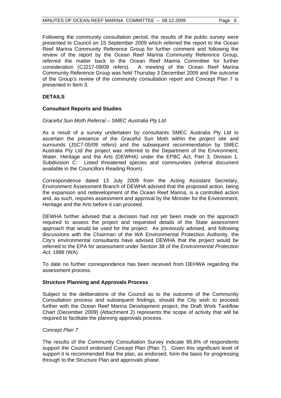Following the community consultation period, the results of the public survey were presented to Council on 15 September 2009 which referred the report to the Ocean Reef Marina Community Reference Group for further comment and following the review of the report by the Ocean Reef Marina Community Reference Group, referred the matter back to the Ocean Reef Marina Committee for further consideration (CJ217-09/09 refers). A meeting of the Ocean Reef Marina Community Reference Group was held Thursday 3 December 2009 and the outcome of the Group's review of the community consultation report and Concept Plan 7 is presented in Item 3.

#### **DETAILS**

#### **Consultant Reports and Studies**

#### *Graceful Sun Moth Referral – SMEC Australia Pty Ltd*

As a result of a survey undertaken by consultants SMEC Australia Pty Ltd to ascertain the presence of the Graceful Sun Moth within the project site and surrounds (JSC7-05/09 refers) and the subsequent recommendation by SMEC Australia Pty Ltd the project was referred to the Department of the Environment, Water, Heritage and the Arts (DEWHA) under the EPBC Act, Part 3, Division 1, Subdivision C: Listed threatened species and communities (referral document available in the Councillors Reading Room).

Correspondence dated 13 July 2009 from the Acting Assistant Secretary, Environment Assessment Branch of DEWHA advised that the proposed action, being the expansion and redevelopment of the Ocean Reef Marina, is a controlled action and, as such, requires assessment and approval by the Minister for the Environment, Heritage and the Arts before it can proceed.

DEWHA further advised that a decision had not yet been made on the approach required to assess the project and requested details of the State assessment approach that would be used for the project. As previously advised, and following discussions with the Chairman of the WA Environmental Protection Authority, the City's environmental consultants have advised DEWHA that the project would be referred to the EPA for assessment under Section 38 of the *Environmental Protection Act,* 1986 (WA).

To date no further correspondence has been received from DEHWA regarding the assessment process.

#### **Structure Planning and Approvals Process**

Subject to the deliberations of the Council as to the outcome of the Community Consultation process and subsequent findings, should the City wish to proceed further with the Ocean Reef Marina Development project, the Draft Work Taskflow Chart (December 2009) (Attachment 2) represents the scope of activity that will be required to facilitate the planning approvals process.

#### *Concept Plan 7*

The results of the Community Consultation Survey indicate 95.6% of respondents support the Council endorsed Concept Plan (Plan 7). Given this significant level of support it is recommended that the plan, as endorsed, form the basis for progressing through to the Structure Plan and approvals phase.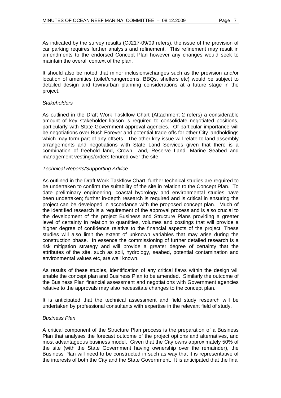As indicated by the survey results (CJ217-09/09 refers), the issue of the provision of car parking requires further analysis and refinement. This refinement may result in amendments to the endorsed Concept Plan however any changes would seek to maintain the overall context of the plan.

It should also be noted that minor inclusions/changes such as the provision and/or location of amenities (toilet/changerooms, BBQs, shelters etc) would be subject to detailed design and town/urban planning considerations at a future stage in the project.

#### *Stakeholders*

As outlined in the Draft Work Taskflow Chart (Attachment 2 refers) a considerable amount of key stakeholder liaison is required to consolidate negotiated positions, particularly with State Government approval agencies. Of particular importance will be negotiations over Bush Forever and potential trade-offs for other City landholdings which may form part of any offsets. The other key issue will relate to land assembly arrangements and negotiations with State Land Services given that there is a combination of freehold land, Crown Land, Reserve Land, Marine Seabed and management vestings/orders tenured over the site.

#### *Technical Reports/Supporting Advice*

As outlined in the Draft Work Taskflow Chart, further technical studies are required to be undertaken to confirm the suitability of the site in relation to the Concept Plan. To date preliminary engineering, coastal hydrology and environmental studies have been undertaken; further in-depth research is required and is critical in ensuring the project can be developed in accordance with the proposed concept plan. Much of the identified research is a requirement of the approval process and is also crucial to the development of the project Business and Structure Plans providing a greater level of certainty in relation to quantities, volumes and costings that will provide a higher degree of confidence relative to the financial aspects of the project. These studies will also limit the extent of unknown variables that may arise during the construction phase. In essence the commissioning of further detailed research is a risk mitigation strategy and will provide a greater degree of certainty that the attributes of the site, such as soil, hydrology, seabed, potential contamination and environmental values etc, are well known.

As results of these studies, identification of any critical flaws within the design will enable the concept plan and Business Plan to be amended. Similarly the outcome of the Business Plan financial assessment and negotiations with Government agencies relative to the approvals may also necessitate changes to the concept plan.

It is anticipated that the technical assessment and field study research will be undertaken by professional consultants with expertise in the relevant field of study.

#### *Business Plan*

A critical component of the Structure Plan process is the preparation of a Business Plan that analyses the forecast outcome of the project options and alternatives, and most advantageous business model. Given that the City owns approximately 50% of the site (with the State Government having ownership over the remainder), the Business Plan will need to be constructed in such as way that it is representative of the interests of both the City and the State Government. It is anticipated that the final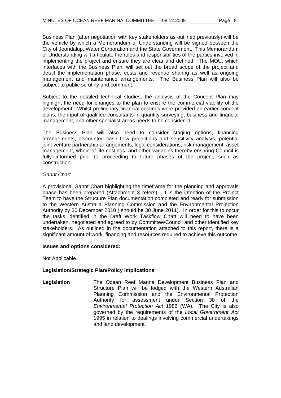Business Plan (after negotiation with key stakeholders as outlined previously) will be the vehicle by which a Memorandum of Understanding will be signed between the City of Joondalup, Water Corporation and the State Government. This Memorandum of Understanding will articulate the roles and responsibilities of the parties involved in implementing the project and ensure they are clear and defined. The MOU, which interfaces with the Business Plan, will set out the broad scope of the project and detail the implementation phase, costs and revenue sharing as well as ongoing management and maintenance arrangements. The Business Plan will also be subject to public scrutiny and comment.

Subject to the detailed technical studies, the analysis of the Concept Plan may highlight the need for changes to the plan to ensure the commercial viability of the development. Whilst preliminary financial costings were provided on earlier concept plans, the input of qualified consultants in quantity surveying, business and financial management, and other specialist areas needs to be considered.

The Business Plan will also need to consider staging options, financing arrangements, discounted cash flow projections and sensitivity analysis, potential joint venture partnership arrangements, legal considerations, risk management, asset management, whole of life costings, and other variables thereby ensuring Council is fully informed prior to proceeding to future phases of the project, such as construction.

#### *Gannt Chart*

A provisional Gannt Chart highlighting the timeframe for the planning and approvals phase has been prepared (Attachment 3 refers). It is the intention of the Project Team to have the Structure Plan documentation completed and ready for submission to the Western Australia Planning Commission and the Environmental Projection Authority by 30 December 2010 ( should be 30 June 2011). In order for this to occur the tasks identified in the Draft Work Taskflow Chart will need to have been undertaken, negotiated and agreed to by Committee/Council and other identified key stakeholders. As outlined in the documentation attached to this report, there is a significant amount of work, financing and resources required to achieve this outcome.

#### **Issues and options considered:**

Not Applicable.

#### **Legislation/Strategic Plan/Policy Implications**

**Legislation** The Ocean Reef Marina Development Business Plan and Structure Plan will be lodged with the Western Australian Planning Commission and the Environmental Protection Authority for assessment under Section 38 of the *Environmental Protection Act* 1986 (WA). The City is also governed by the requirements of the *Local Government Act* 1995 in relation to dealings involving commercial undertakings and land development.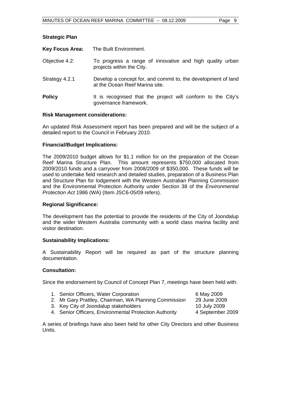| <b>Key Focus Area:</b> | The Built Environment.                                                                          |
|------------------------|-------------------------------------------------------------------------------------------------|
| Objective 4.2:         | To progress a range of innovative and high quality urban<br>projects within the City.           |
| Strategy 4.2.1         | Develop a concept for, and commit to, the development of land<br>at the Ocean Reef Marina site. |
| <b>Policy</b>          | It is recognised that the project will conform to the City's<br>governance framework.           |

#### **Risk Management considerations:**

**Strategic Plan** 

An updated Risk Assessment report has been prepared and will be the subject of a detailed report to the Council in February 2010.

#### **Financial/Budget Implications:**

The 2009/2010 budget allows for \$1.1 million for on the preparation of the Ocean Reef Marina Structure Plan. This amount represents \$750,000 allocated from 2009/2010 funds and a carryover from 2008/2009 of \$350,000. These funds will be used to undertake field research and detailed studies, preparation of a Business Plan and Structure Plan for lodgement with the Western Australian Planning Commission and the Environmental Protection Authority under Section 38 of the *Environmental Protection Act* 1986 (WA) (Item JSC6-05/09 refers).

#### **Regional Significance:**

The development has the potential to provide the residents of the City of Joondalup and the wider Western Australia community with a world class marina facility and visitor destination.

#### **Sustainability Implications:**

A Sustainability Report will be required as part of the structure planning documentation.

#### **Consultation:**

Since the endorsement by Council of Concept Plan 7, meetings have been held with:

- 1. Senior Officers, Water Corporation 6 May 2009
- 2. Mr Gary Prattley, Chairman, WA Planning Commission 29 June 2009
- 
- 3. Key City of Joondalup stakeholders 10 July 2009

4. Senior Officers, Environmental Protection Authority 4 September 2009

A series of briefings have also been held for other City Directors and other Business Units.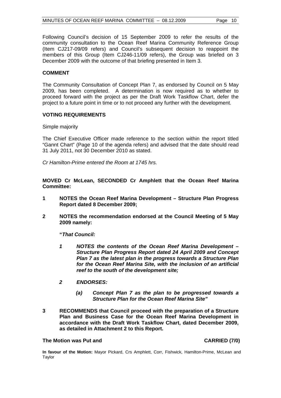Following Council's decision of 15 September 2009 to refer the results of the community consultation to the Ocean Reef Marina Community Reference Group (Item CJ217-09/09 refers) and Council's subsequent decision to reappoint the members of this Group (Item CJ246-11/09 refers), the Group was briefed on 3 December 2009 with the outcome of that briefing presented in Item 3.

#### **COMMENT**

The Community Consultation of Concept Plan 7, as endorsed by Council on 5 May 2009, has been completed. A determination is now required as to whether to proceed forward with the project as per the Draft Work Taskflow Chart, defer the project to a future point in time or to not proceed any further with the development.

#### **VOTING REQUIREMENTS**

Simple majority

The Chief Executive Officer made reference to the section within the report titled "Gannt Chart" (Page 10 of the agenda refers) and advised that the date should read 31 July 2011, not 30 December 2010 as stated.

*Cr Hamilton-Prime entered the Room at 1745 hrs.* 

**MOVED Cr McLean, SECONDED Cr Amphlett that the Ocean Reef Marina Committee:** 

- **1 NOTES the Ocean Reef Marina Development Structure Plan Progress Report dated 8 December 2009;**
- **2 NOTES the recommendation endorsed at the Council Meeting of 5 May 2009 namely:**

 **"***That Council:* 

- *1 NOTES the contents of the Ocean Reef Marina Development Structure Plan Progress Report dated 24 April 2009 and Concept Plan 7 as the latest plan in the progress towards a Structure Plan for the Ocean Reef Marina Site, with the inclusion of an artificial reef to the south of the development site;*
- *2 ENDORSES:* 
	- *(a) Concept Plan 7 as the plan to be progressed towards a Structure Plan for the Ocean Reef Marina Site"*
- **3 RECOMMENDS that Council proceed with the preparation of a Structure Plan and Business Case for the Ocean Reef Marina Development in accordance with the Draft Work Taskflow Chart, dated December 2009, as detailed in Attachment 2 to this Report.**

#### **The Motion was Put and CARRIED (7/0)**

**In favour of the Motion:** Mayor Pickard, Crs Amphlett, Corr, Fishwick, Hamilton-Prime, McLean and Taylor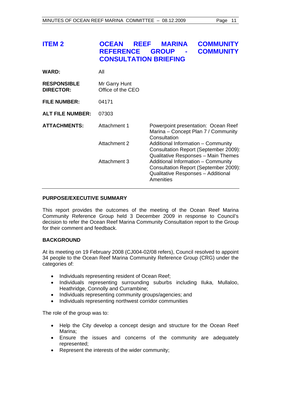| <b>ITEM 2</b>                          | <b>OCEAN</b><br><b>REEF</b><br><b>REFERENCE</b><br><b>CONSULTATION BRIEFING</b>                                                                | <b>MARINA</b><br><b>GROUP</b>                                                                                      | <b>COMMUNITY</b><br><b>COMMUNITY</b> |
|----------------------------------------|------------------------------------------------------------------------------------------------------------------------------------------------|--------------------------------------------------------------------------------------------------------------------|--------------------------------------|
| <b>WARD:</b>                           | All                                                                                                                                            |                                                                                                                    |                                      |
| <b>RESPONSIBLE</b><br><b>DIRECTOR:</b> | Mr Garry Hunt<br>Office of the CEO                                                                                                             |                                                                                                                    |                                      |
| <b>FILE NUMBER:</b>                    | 04171                                                                                                                                          |                                                                                                                    |                                      |
| <b>ALT FILE NUMBER:</b>                | 07303                                                                                                                                          |                                                                                                                    |                                      |
| <b>ATTACHMENTS:</b>                    | Attachment 1                                                                                                                                   | Powerpoint presentation: Ocean Reef<br>Marina – Concept Plan 7 / Community<br>Consultation                         |                                      |
|                                        | <b>Attachment 2</b>                                                                                                                            | Additional Information - Community<br>Consultation Report (September 2009):<br>Qualitative Responses - Main Themes |                                      |
|                                        | Attachment 3<br>Additional Information - Community<br>Consultation Report (September 2009):<br>Qualitative Responses - Additional<br>Amenities |                                                                                                                    |                                      |

#### **PURPOSE/EXECUTIVE SUMMARY**

This report provides the outcomes of the meeting of the Ocean Reef Marina Community Reference Group held 3 December 2009 in response to Council's decision to refer the Ocean Reef Marina Community Consultation report to the Group for their comment and feedback.

#### **BACKGROUND**

At its meeting on 19 February 2008 (CJ004-02/08 refers), Council resolved to appoint 34 people to the Ocean Reef Marina Community Reference Group (CRG) under the categories of:

- Individuals representing resident of Ocean Reef;
- Individuals representing surrounding suburbs including Iluka, Mullaloo, Heathridge, Connolly and Currambine;
- Individuals representing community groups/agencies; and
- Individuals representing northwest corridor communities

The role of the group was to:

- Help the City develop a concept design and structure for the Ocean Reef Marina;
- Ensure the issues and concerns of the community are adequately represented;
- Represent the interests of the wider community;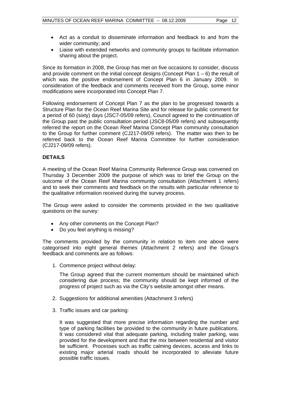- Act as a conduit to disseminate information and feedback to and from the wider community; and
- Liaise with extended networks and community groups to facilitate information sharing about the project.

Since its formation in 2008, the Group has met on five occasions to consider, discuss and provide comment on the initial concept designs (Concept Plan  $1 - 6$ ) the result of which was the positive endorsement of Concept Plan 6 in January 2009. In consideration of the feedback and comments received from the Group, some minor modifications were incorporated into Concept Plan 7.

Following endorsement of Concept Plan 7 as the plan to be progressed towards a Structure Plan for the Ocean Reef Marina Site and for release for public comment for a period of 60 (sixty) days (JSC7-05/09 refers), Council agreed to the continuation of the Group past the public consultation period (JSC8-05/09 refers) and subsequently referred the report on the Ocean Reef Marina Concept Plan community consultation to the Group for further comment (CJ217-09/09 refers). The matter was then to be referred back to the Ocean Reef Marina Committee for further consideration (CJ217-09/09 refers).

#### **DETAILS**

A meeting of the Ocean Reef Marina Community Reference Group was convened on Thursday 3 December 2009 the purpose of which was to brief the Group on the outcome of the Ocean Reef Marina community consultation (Attachment 1 refers) and to seek their comments and feedback on the results with particular reference to the qualitative information received during the survey process.

The Group were asked to consider the comments provided in the two qualitative questions on the survey:

- Any other comments on the Concept Plan?
- Do you feel anything is missing?

The comments provided by the community in relation to item one above were categorised into eight general themes (Attachment 2 refers) and the Group's feedback and comments are as follows:

1. Commence project without delay:

 The Group agreed that the current momentum should be maintained which considering due process; the community should be kept informed of the progress of project such as via the City's website amongst other means.

- 2. Suggestions for additional amenities (Attachment 3 refers)
- 3. Traffic issues and car parking:

 It was suggested that more precise information regarding the number and type of parking facilities be provided to the community in future publications. It was considered vital that adequate parking, including trailer parking, was provided for the development and that the mix between residential and visitor be sufficient. Processes such as traffic calming devices, access and links to existing major arterial roads should be incorporated to alleviate future possible traffic issues.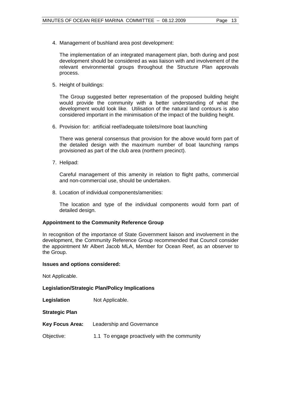4. Management of bushland area post development:

 The implementation of an integrated management plan, both during and post development should be considered as was liaison with and involvement of the relevant environmental groups throughout the Structure Plan approvals process.

5. Height of buildings:

 The Group suggested better representation of the proposed building height would provide the community with a better understanding of what the development would look like. Utilisation of the natural land contours is also considered important in the minimisation of the impact of the building height.

6. Provision for: artificial reef/adequate toilets/more boat launching

 There was general consensus that provision for the above would form part of the detailed design with the maximum number of boat launching ramps provisioned as part of the club area (northern precinct).

7. Helipad:

 Careful management of this amenity in relation to flight paths, commercial and non-commercial use, should be undertaken.

8. Location of individual components/amenities:

 The location and type of the individual components would form part of detailed design.

#### **Appointment to the Community Reference Group**

In recognition of the importance of State Government liaison and involvement in the development, the Community Reference Group recommended that Council consider the appointment Mr Albert Jacob MLA, Member for Ocean Reef, as an observer to the Group.

#### **Issues and options considered:**

Not Applicable.

**Legislation/Strategic Plan/Policy Implications** 

- **Legislation** Not Applicable.
- **Strategic Plan**
- **Key Focus Area:** Leadership and Governance
- Objective: 1.1 To engage proactively with the community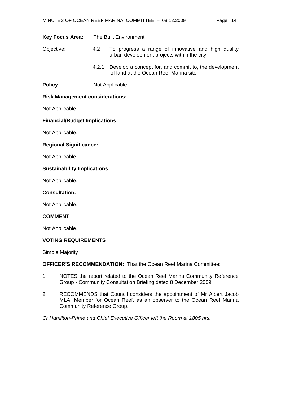| <b>Key Focus Area:</b> | The Built Environment |
|------------------------|-----------------------|
|                        |                       |

- Objective: 4.2 To progress a range of innovative and high quality urban development projects within the city.
	- 4.2.1 Develop a concept for, and commit to, the development of land at the Ocean Reef Marina site.

**Policy** Not Applicable.

#### **Risk Management considerations:**

Not Applicable.

#### **Financial/Budget Implications:**

Not Applicable.

#### **Regional Significance:**

Not Applicable.

#### **Sustainability Implications:**

Not Applicable.

#### **Consultation:**

Not Applicable.

#### **COMMENT**

Not Applicable.

#### **VOTING REQUIREMENTS**

Simple Majority

**OFFICER'S RECOMMENDATION:** That the Ocean Reef Marina Committee:

- 1 NOTES the report related to the Ocean Reef Marina Community Reference Group - Community Consultation Briefing dated 8 December 2009;
- 2 RECOMMENDS that Council considers the appointment of Mr Albert Jacob MLA, Member for Ocean Reef, as an observer to the Ocean Reef Marina Community Reference Group.

*Cr Hamilton-Prime and Chief Executive Officer left the Room at 1805 hrs.*